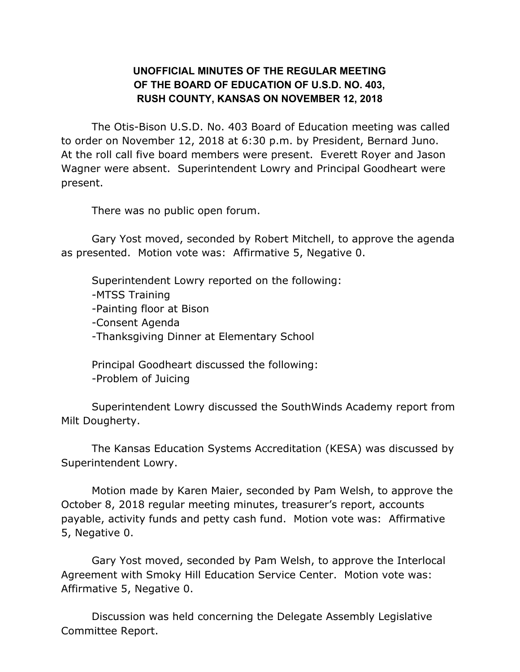## **UNOFFICIAL MINUTES OF THE REGULAR MEETING OF THE BOARD OF EDUCATION OF U.S.D. NO. 403, RUSH COUNTY, KANSAS ON NOVEMBER 12, 2018**

The Otis-Bison U.S.D. No. 403 Board of Education meeting was called to order on November 12, 2018 at 6:30 p.m. by President, Bernard Juno. At the roll call five board members were present. Everett Royer and Jason Wagner were absent. Superintendent Lowry and Principal Goodheart were present.

There was no public open forum.

Gary Yost moved, seconded by Robert Mitchell, to approve the agenda as presented. Motion vote was: Affirmative 5, Negative 0.

Superintendent Lowry reported on the following: -MTSS Training -Painting floor at Bison -Consent Agenda -Thanksgiving Dinner at Elementary School

Principal Goodheart discussed the following: -Problem of Juicing

Superintendent Lowry discussed the SouthWinds Academy report from Milt Dougherty.

The Kansas Education Systems Accreditation (KESA) was discussed by Superintendent Lowry.

Motion made by Karen Maier, seconded by Pam Welsh, to approve the October 8, 2018 regular meeting minutes, treasurer's report, accounts payable, activity funds and petty cash fund. Motion vote was: Affirmative 5, Negative 0.

Gary Yost moved, seconded by Pam Welsh, to approve the Interlocal Agreement with Smoky Hill Education Service Center. Motion vote was: Affirmative 5, Negative 0.

Discussion was held concerning the Delegate Assembly Legislative Committee Report.